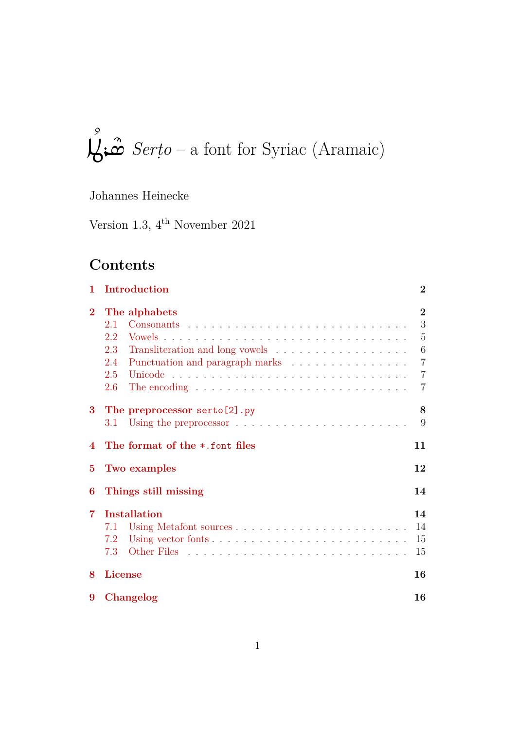### $\mathbf{I}$ )<br>∫  $\sum \hat{\omega}$  *Serțo* – a font for Syriac (Aramaic)

# Johannes Heinecke

Version 1.3, 4th November 2021

# **Contents**

| 1                | Introduction                                                                                                                                                                | $\bf{2}$                                                                      |
|------------------|-----------------------------------------------------------------------------------------------------------------------------------------------------------------------------|-------------------------------------------------------------------------------|
| $\bf{2}$         | The alphabets<br>2.1<br>2.2<br>2.3<br>Punctuation and paragraph marks<br>2.4<br>2.5<br>2.6<br>The encoding $\ldots \ldots \ldots \ldots \ldots \ldots \ldots \ldots \ldots$ | $\bf{2}$<br>3<br>5<br>6<br>$\overline{7}$<br>$\overline{7}$<br>$\overline{7}$ |
| 3                | The preprocessor serto [2] .py<br>3.1                                                                                                                                       | 8<br>9                                                                        |
| $\boldsymbol{A}$ | The format of the *.font files                                                                                                                                              | 11                                                                            |
| $\bf{5}$         | Two examples                                                                                                                                                                | 12                                                                            |
| 6                | Things still missing                                                                                                                                                        | 14                                                                            |
| $\overline{7}$   | <b>Installation</b><br>7.1<br>7.2<br>7.3                                                                                                                                    | 14<br>14<br>15<br>15                                                          |
| 8                | <b>License</b>                                                                                                                                                              | 16                                                                            |
| 9                | Changelog                                                                                                                                                                   | 16                                                                            |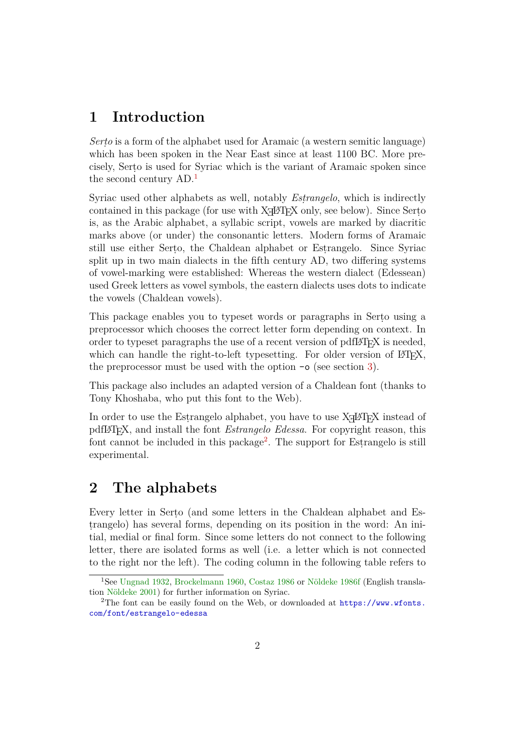# <span id="page-1-3"></span>**1 Introduction**

<span id="page-1-0"></span>*Serṭo* is a form of the alphabet used for Aramaic (a western semitic language) which has been spoken in the Near East since at least 1100 BC. More precisely, Serṭo is used for Syriac which is the variant of Aramaic spoken since the second century AD.<sup>1</sup>

Syriac used other alphabets as well, notably *Esṭrangelo*, which is indirectly contained in this package (for use with X $\frac{1}{4}$ AT<sub>EX</sub> only, see below). Since Serto is, as the Arabic alpha[be](#page-1-2)t, a syllabic script, vowels are marked by diacritic marks above (or under) the consonantic letters. Modern forms of Aramaic still use either Serṭo, the Chaldean alphabet or Esṭrangelo. Since Syriac split up in two main dialects in the fifth century AD, two differing systems of vowel-marking were established: Whereas the western dialect (Edessean) used Greek letters as vowel symbols, the eastern dialects uses dots to indicate the vowels (Chaldean vowels).

This package enables you to typeset words or paragraphs in Serto using a preprocessor which chooses the correct letter form depending on context. In order to typeset paragraphs the use of a recent version of  $\text{pdfMFX}$  is needed, which can handle the right-to-left typesetting. For older version of  $\mathbb{F}$ F<sub>F</sub>X, the preprocessor must be used with the option  $-\circ$  (see section 3).

This package also includes an adapted version of a Chaldean font (thanks to Tony Khoshaba, who put this font to the Web).

In order to use the Estrangelo alphabet, you have to use  $X \not\vdash Y$  instead of pdfLATEX, and install the font *Estrangelo Edessa*. For copyright reason, this font cannot be included in this package<sup>2</sup>. The support for Estrangelo is still experimental.

# **2 The alphabets**

<span id="page-1-1"></span>Every letter in Serṭo (and some letters in the Chaldean alphabet and Esṭrangelo) has several forms, depending on its position in the word: An initial, medial or final form. Since some letters do not connect to the following letter, there are isolated forms as well (i.e. a letter which is not connected to the right nor the left). The coding column in the following table refers to

<sup>1</sup>See Ungnad 1932, Brockelmann 1960, Costaz 1986 or Nöldeke 1986f (English translation Nöldeke 2001) for further information on Syriac.

<span id="page-1-2"></span><sup>&</sup>lt;sup>2</sup>The font can be easily found on the Web, or downloaded at  $\frac{https://www.wfonts.}$ com/font/estrangelo-edessa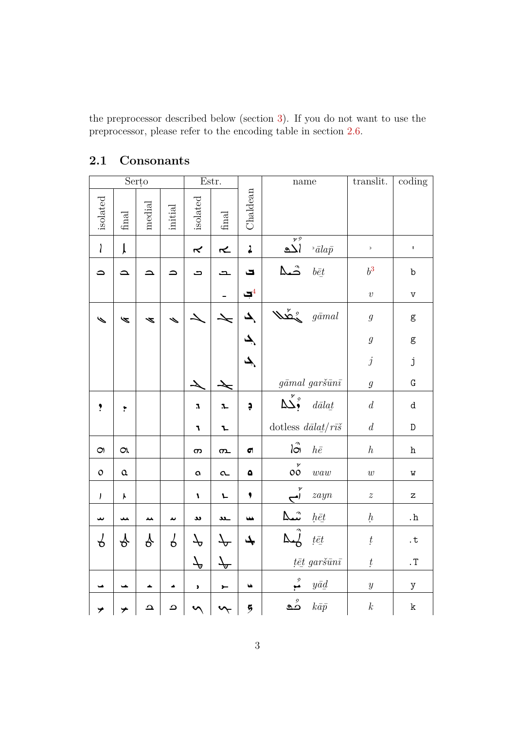the preprocessor described below (section 3). If you do not want to use the preprocessor, please refer to the encoding table in section 2.6.

<span id="page-2-0"></span>

|                 |                     | Serțo    |         |                                | Estr.                    |                     | name                                                             |                                         | translit.                 | coding                            |
|-----------------|---------------------|----------|---------|--------------------------------|--------------------------|---------------------|------------------------------------------------------------------|-----------------------------------------|---------------------------|-----------------------------------|
| isolated        | final               | medial   | initial | isolated                       | final                    | Chaldean            |                                                                  |                                         |                           |                                   |
| $\mathbf{I}$    | ļ                   |          |         | $\tilde{\mathbf{r}}$           | $\overline{\mathbf{r}}$  | $\ddot{\mathbf{z}}$ | $\overline{y}$<br>$\overline{\Delta}$                            | $\bar{a}$ lap                           | $\mathsf{S}$              | $\pmb{\mathsf{I}}$                |
| ٥               | ≏                   |          |         | ت                              | Ľ                        | پ                   | شما                                                              | $b\bar{e}t$                             | $b^3\,$                   | $\rm b$                           |
|                 |                     |          |         |                                |                          | $\Box^4$            |                                                                  |                                         | $\boldsymbol{\mathit{v}}$ | $\mathtt{V}$                      |
| $\blacklozenge$ | Ñ                   | ⋖        |         |                                |                          | ک                   | $\mathcal{W}^{\mathcal{E}}_{\mathcal{A}}$                        | $g\bar{a}mal$                           | $\boldsymbol{g}$          | $\mathsf g$                       |
|                 |                     |          |         |                                |                          | پک                  |                                                                  |                                         | $\boldsymbol{g}$          | ${\sf g}$                         |
|                 |                     |          |         |                                |                          | پک                  |                                                                  |                                         | $\boldsymbol{j}$          | j                                 |
|                 |                     |          |         |                                |                          |                     |                                                                  | $g\bar{a}mal\ garš\bar{u}n\bar{\imath}$ | $\mathfrak g$             | ${\bf G}$                         |
| $\ddot{\cdot}$  | $\mathbf{\dot{r}}$  |          |         | $\pmb{\cdot}$                  | $\mathbf{L}$             | Ģ                   | $\Delta^{\check\prime}_2$                                        | $d\bar{a}la t$                          | $\boldsymbol{d}$          | $\mathtt{d}$                      |
|                 |                     |          |         | 7                              | L                        |                     | dotless $\sqrt{d}\bar{a}l\bar{a}\underline{t}/r\bar{i}\check{s}$ |                                         | $\boldsymbol{d}$          | ${\mathbb D}$                     |
| $\bigcirc$      | $\alpha$            |          |         | က                              | $\sigma$                 | $\sigma$            | $\int_{0}^{\infty}$                                              | $h\bar{e}$                              | h                         | $\,h$                             |
| $\mathsf{O}$    | $\pmb{\alpha}$      |          |         | $\boldsymbol{\mathsf{\alpha}}$ | $\alpha$                 | $\pmb{\Delta}$      | $\mathop{\circ}^{\mathit{v}}$                                    | waw                                     | $\boldsymbol{w}$          | $\mathtt{W}$                      |
| $\pmb{\rfloor}$ | $\pmb{\mathcal{K}}$ |          |         | $\pmb{\mathcal{N}}$            | L                        | ۱                   | y                                                                | zayn                                    | $\boldsymbol{z}$          | $\mathbf{Z}% _{0}=\mathbf{Z}_{0}$ |
| ىپ              |                     | ᄮ        | ىد      | u                              | ـىد                      | w                   |                                                                  | $h\bar{e}t$                             | $h_{\cdot}$               | . ${\bf h}$                       |
| კ               | $\gamma$            | $\gamma$ | Υ       | P                              | $\overline{\mathcal{A}}$ | پک                  | へ                                                                | $t\bar{e}t$                             | $\rlap{t}$                | $\cdot$ t                         |
|                 |                     |          |         | $\mathcal{T}$                  | $\overline{\mathcal{F}}$ |                     |                                                                  | $t$ ēt garšūnī                          | $\boldsymbol{t}$          | $\cdot$ T                         |
|                 |                     |          |         | $\blacktriangleright$          | $\leftarrow$             | u                   | $\overset{9}{\blacktriangle}$                                    | $y\bar{a}\underline{d}$                 | $\boldsymbol{y}$          | $\mathbf y$                       |
| プ               |                     | ≏        | ے       |                                | ᡃ                        | 5                   | مُع                                                              | $k\bar{a}\bar{p}$                       | $\boldsymbol{k}$          | $\rm k$                           |

#### **2.1 Consonants**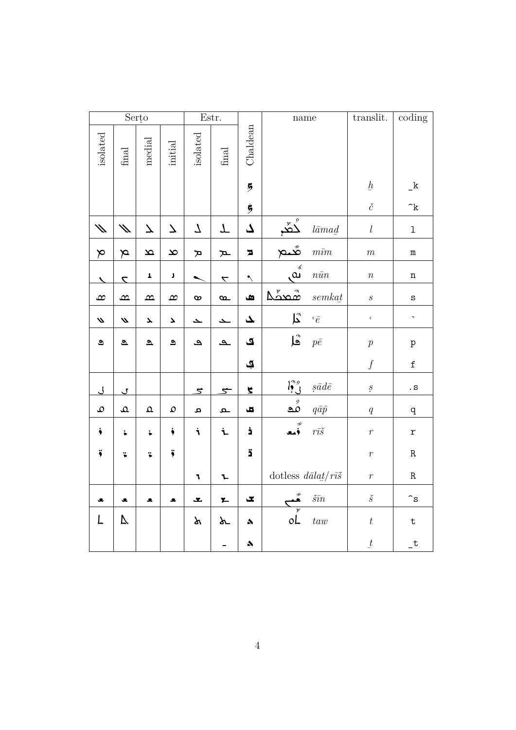|                          |                         | Serțo                    |                          |                                     | Estr.                    |                         | $\mathop{\mathrm{name}}$                 |                          | translit.        | $\overline{\text{coding}}$ |
|--------------------------|-------------------------|--------------------------|--------------------------|-------------------------------------|--------------------------|-------------------------|------------------------------------------|--------------------------|------------------|----------------------------|
| isolated                 | $\operatorname{final}$  | $_{\rm{medial}}$         | $\operatorname{initial}$ | isolated                            | $\operatorname{final}$   | Chaldean                |                                          |                          |                  |                            |
|                          |                         |                          |                          |                                     |                          | $\overline{5}$          |                                          |                          | $\underline{h}$  | k                          |
|                          |                         |                          |                          |                                     |                          | 5                       |                                          |                          | $\check c$       | $\hat{}$ k                 |
| $\mathscr{N}$            | $\mathscr{S}$           | $\overline{\phantom{a}}$ | 7                        | $\mathcal{L}% _{G}=\mathcal{L}_{G}$ | T                        | ک                       | ݣݞ                                       | $l\bar{a}mad$            | $\boldsymbol{l}$ | $\mathbf 1$                |
| $\blacktriangleright$    | $\boldsymbol{\beta}$    | $\bf \underline{\infty}$ | $\infty$                 | $\mathbf{\pi}$                      | $\mathbf{r}$             | $\overline{\mathbf{z}}$ | هُـم                                     | $m\bar{u}m$              | $\,m$            | ${\bf m}$                  |
| $\overline{\phantom{0}}$ | $\overline{\mathbf{z}}$ | $\pmb{\mathsf{I}}$       | $\pmb{\mathsf{J}}$       |                                     | $\overline{\phantom{0}}$ | $\hat{\phantom{0}}$     | َ ؞<br>؈                                 | $n\bar{u}n$              | $\boldsymbol{n}$ | n                          |
| $\infty$                 | $\underline{\infty}$    | $\infty$                 | $\infty$                 | $\infty$                            | $\infty$                 | $\mathbf{a}$            | ڞصکا                                     | $semka$ t                | $\boldsymbol{S}$ | S                          |
| $\boldsymbol{\omega}$    | $\boldsymbol{\omega}$   | $\blacktriangle$         | $\blacktriangle$         | ح                                   | ح                        | ک                       | $\mathbf{L}^{\!\!\mathrm{a}}$            | $\epsilon\,\bar e$       | $\mathsf{c}$     | $\overline{\phantom{a}}$   |
| ತಿ                       | $\overline{\mathbf{c}}$ | $\Delta$                 | $\bullet$                | ڡ                                   | ے                        | ی                       | ہا                                       | $p\bar{e}$               | $\boldsymbol{p}$ | p                          |
|                          |                         |                          |                          |                                     |                          | ي                       |                                          |                          | $\overline{f}$   | $\mathbf f$                |
| $\overline{\mathcal{L}}$ | $\mathcal{L}$           |                          |                          | <u>ځ</u>                            | <u>ح</u>                 | 4                       | $\iint_{\gamma}^{\gamma_0}$              | $s\bar{a}d\bar{e}$       | $\ddot{s}$       | . $\mathtt{s}$             |
| $\mathfrak o$            | $\pmb{\Omega}$          | $\pmb{\Omega}$           | $\pmb{\mathsf{O}}$       | Q,                                  | ے                        | $\blacksquare$          | ್ತಿ $\mathfrak{g}$                       | $q\bar{a}\bar{p}$        | $\boldsymbol{q}$ | $\mathbf q$                |
| $\ddot{\bullet}$         | ÷,                      | $\ddot{\bullet}$         | ż                        | i                                   | i                        | ċ                       | ر<br>فمع                                 | $r\bar{\imath}\check{s}$ | $\boldsymbol{r}$ | r                          |
| $\ddot{\bullet}$         | ï                       | <b>::</b>                | ÿ                        |                                     |                          | ä                       |                                          |                          | $\,r\,$          | $\rm R$                    |
|                          |                         |                          |                          | $\pmb{r}$                           | $\mathbf{L}$             |                         | dotless $d\bar{a}la t/r\bar{i}\tilde{s}$ |                          | $\boldsymbol{r}$ | $\rm R$                    |
| ع                        | ٤                       | s.                       | £                        | ے                                   | $\mathbf{z}$             | Ľ,                      |                                          | $\check{s}\bar{m}$       | $\check{s}$      | $\mathbin{\char`\^}S$      |
| L                        | V                       |                          |                          | y                                   | ሥ                        | ٨                       | $\triangleright$<br>oL                   | tau                      | $\boldsymbol{t}$ | $\mathbf t$                |
|                          |                         |                          |                          |                                     |                          | $\spadesuit$            |                                          |                          | $\underline{t}$  | $_t$                       |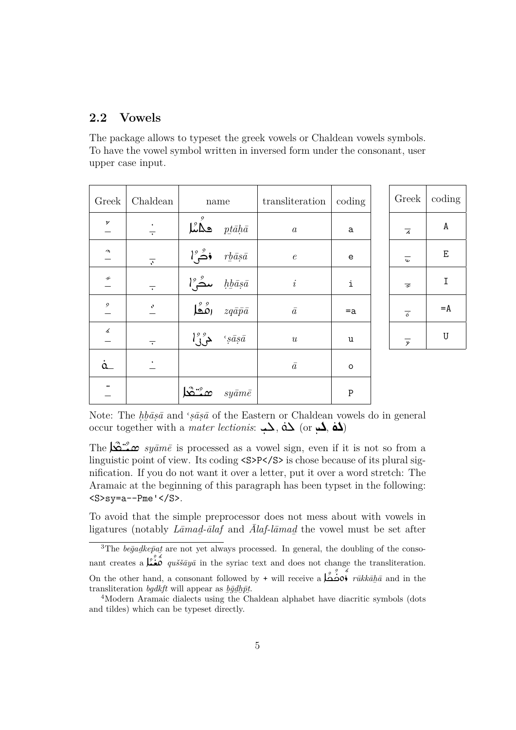#### <span id="page-4-0"></span>**2.2 Vowels**

The package allows to typeset the greek vowels or Chaldean vowels symbols. To have the vowel symbol written in inversed form under the consonant, user upper case input.

| Greek               | Chaldean                 | name |                                            | transliteration  | coding      |
|---------------------|--------------------------|------|--------------------------------------------|------------------|-------------|
| У                   | $\overline{\cdot}$       |      | $\mathcal{L}$ ھگ                           | $\boldsymbol{a}$ | a           |
| $\boldsymbol{\eta}$ | $\overline{\mathcal{N}}$ |      | $l^{\circ}$ فُصْ $\bullet$                 | $\epsilon$       | $\mathbf e$ |
| H                   | $\overline{\cdot}$       |      | $l^{\circ}$ مد $\mathcal{L}$               | $\dot{i}$        | i           |
| $\mathfrak{g}$      | $\pmb{\eta}$             |      | $\overline{\mathfrak{so}}$ ره              | $\bar{a}$        | $=a$        |
| くんじょう じゅうかい じゅうかい   | $\overline{\cdot}$       |      | $l^9$ $\rightarrow$ $\epsilon$ <i>sāsā</i> | $\boldsymbol{u}$ | u           |
| $\alpha$            |                          |      |                                            | $\bar{a}$        | $\circ$     |
| $\bullet\bullet$    |                          |      | $sy\bar{a}m\bar{e}$                        |                  | P           |



Note: The *hbasa* and '*sasa* of the Eastern or Chaldean vowels do in general occur together with a *mater lectionis*:  $\overrightarrow{A}$ ,  $\overrightarrow{d}$  (or  $\overrightarrow{d}$ ,  $\overrightarrow{d}$ )

The  $\sum_{i=1}^{\infty}$  *syāmē* is processed as a vowel sign, even if it is not so from a linguistic point of view. Its coding  $\langle S\rangle P \langle S\rangle$  is chose because of its plural signification. If you do not want it over a letter, put it over a word stretch: The Aramaic at the beginning of this paragraph has been typset in the following:  $<$ S>sy=a--Pme' $<$ /S>.

To avoid that the simple preprocessor does not mess about with vowels in ligatures (notably *Lāmad̲-ālaf* and *Ālaf-lāmad̲*the vowel must be set after

<span id="page-4-1"></span><sup>&</sup>lt;sup>3</sup>The *begadkep̃at* are not yet always processed. In general, the doubling of the consonant creates a  $\sum_{i=1}^{3} a_i$  *quššāyā* in the syriac text and does not change the transliteration. On the other hand, a consonant followed by + will receive a  $\overrightarrow{a}$   $\overrightarrow{v}$   $\overrightarrow{v}$   $\overrightarrow{w}$   $\overrightarrow{w}$   $\overrightarrow{w}$  and in the transliteration *bgdkft* will appear as *b̲ḡd̲h̲p̄t̲*.

<sup>&</sup>lt;sup>4</sup>Modern Aramaic dialects using the Chaldean alphabet have diacritic symbols (dots and tildes) which can be typeset directly.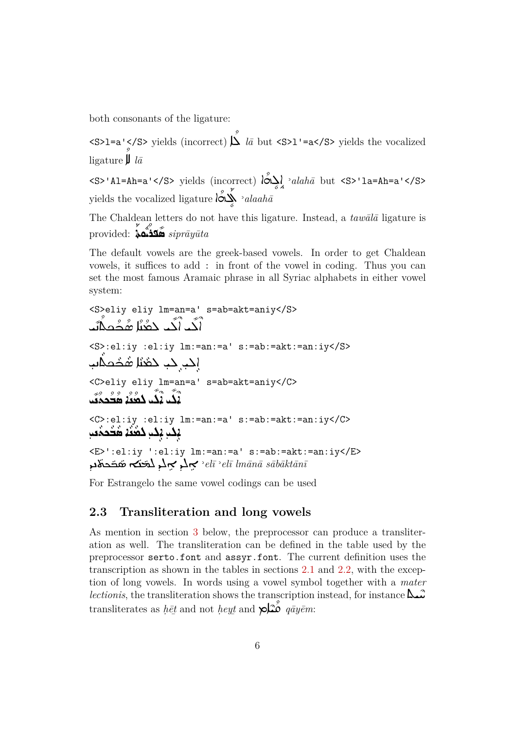both consonants of the ligature:

ligature  $\mathbf{\mu}$  la

The Chaldean letters do not have this ligature. Instead, a  $tau\bar{a}$  ligature is provided:  $\sum_{k=1}^{8} \sum_{k=1}^{8}$  siprāyūta

The default vowels are the greek-based vowels. In order to get Chaldean vowels, it suffices to add: in front of the vowel in coding. Thus you can set the most famous Aramaic phrase in all Syriac alphabets in either vowel system:

$$
\langle S \rangle = \text{div } \ln = \text{tan} = \text{sin} \, \text{s} = \text{sin} = \text{atan} \, \text{s} = \text{sin} \, \text{s} = \text{sin} \, \text{s} = \text{sin} \, \text{s} = \text{sin} \, \text{s} = \text{sin} \, \text{s} = \text{sin} \, \text{s} = \text{sin} \, \text{s} = \text{sin} \, \text{s} = \text{sin} \, \text{s} = \text{sin} \, \text{s} = \text{sin} \, \text{s} = \text{sin} \, \text{s} = \text{sin} \, \text{s} = \text{sin} \, \text{s} = \text{sin} \, \text{s} = \text{sin} \, \text{s} = \text{sin} \, \text{s} = \text{sin} \, \text{s} = \text{sin} \, \text{s} = \text{sin} \, \text{s} = \text{sin} \, \text{s} = \text{sin} \, \text{s} = \text{sin} \, \text{s} = \text{sin} \, \text{s} = \text{sin} \, \text{s} = \text{sin} \, \text{s} = \text{sin} \, \text{s} = \text{sin} \, \text{s} = \text{sin} \, \text{s} = \text{sin} \, \text{s} = \text{sin} \, \text{s} = \text{sin} \, \text{s} = \text{sin} \, \text{s} = \text{sin} \, \text{s} = \text{sin} \, \text{s} = \text{sin} \, \text{s} = \text{sin} \, \text{s} = \text{sin} \, \text{s} = \text{sin} \, \text{s} = \text{sin} \, \text{s} = \text{sin} \, \text{s} = \text{sin} \, \text{s} = \text{sin} \, \text{s} = \text{sin} \, \text{s} = \text{sin} \, \text{s} = \text{sin} \, \text{s} = \text{sin} \, \text{s} = \text{sin} \, \text{s} = \text{sin} \, \text{s} = \text{sin} \, \text{s} = \text{sin} \, \text{s} = \text{sin} \, \text{s} = \text{sin} \, \text{s} = \text{sin} \, \text{s} = \text{sin} \, \text{s} = \text{sin} \, \text{s} = \text{sin} \, \text{s} = \text{sin} \, \text{s} = \text{sin} \, \text{s} = \text
$$

For Estrangelo the same vowel codings can be used

#### 2.3 Transliteration and long vowels

<span id="page-5-0"></span>As mention in section 3 below, the preprocessor can produce a transliteration as well. The transliteration can be defined in the table used by the preprocessor serto.font and assyr.font. The current definition uses the transcription as shown in the tables in sections 2.1 and 2.2, with the exception of long vowels. In words using a vowel symbol together with a mater *lectionis*, the transliteration shows the transcription instead, for instance  $\Delta \hat{\omega}$ transliterates as het and not heyt and  $\sum_{i=1}^{\infty} q \bar{a} y \bar{e} m$ :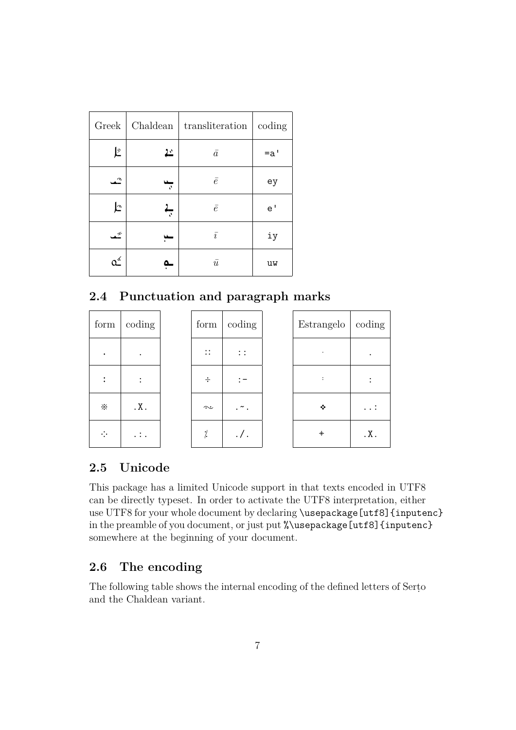| Greek | Chaldean | transliteration | coding |
|-------|----------|-----------------|--------|
| Į2    | ئے       | $\bar{a}$       | $=a'$  |
| ≏     | J,       | $\bar{e}$       | ey     |
| Ŀ     | ▄<br>N,  | $\bar{e}$       | e'     |
| ⋰     | w        | $\bar{i}$       | iy     |
| o≦    |          | $\bar{u}$       | uw     |

### <span id="page-6-0"></span>**2.4 Punctuation and paragraph marks**

| form | coding                    | form                | coding   | Estrangelo     | coding |
|------|---------------------------|---------------------|----------|----------------|--------|
| ٠    | $\bullet$                 | $\vdots$            | $\vdots$ |                |        |
|      | ٠<br>$\ddot{\phantom{0}}$ | ÷                   |          | $\ddot{\cdot}$ |        |
| ፠    | $\cdot$ X $\cdot$         | $\hat{\phantom{a}}$ | . ~ .    | ❖              |        |
| ÷    | $\ldots$                  | $\rlap{.}^{\prime}$ | $. /$ .  | $+$            | .X.    |

## <span id="page-6-1"></span>**2.5 Unicode**

This package has a limited Unicode support in that texts encoded in UTF8 can be directly typeset. In order to activate the UTF8 interpretation, either use UTF8 for your whole document by declaring \usepackage[utf8]{inputenc} in the preamble of you document, or just put %\usepackage[utf8]{inputenc} somewhere at the beginning of your document.

## <span id="page-6-2"></span>**2.6 The encoding**

The following table shows the internal encoding of the defined letters of Serṭo and the Chaldean variant.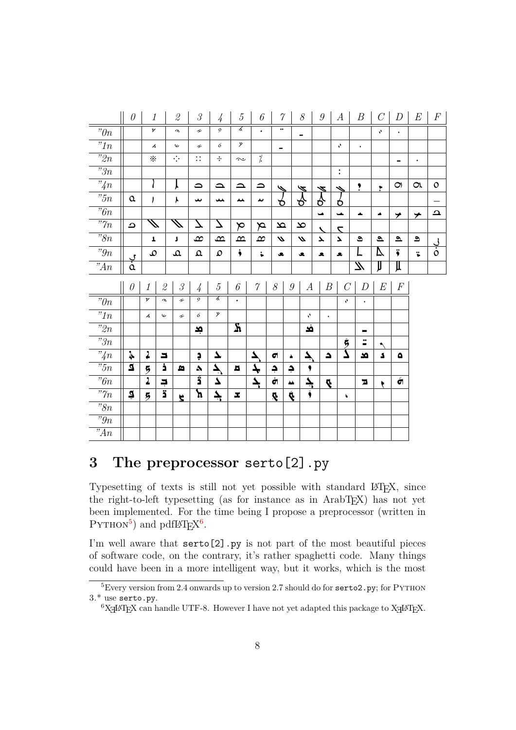|                                      | $\boldsymbol{\theta}$    | $\boldsymbol{\mathit{1}}$ |                                                           | $\mathcal{Q}% _{M_{1},M_{2}}^{\alpha,\beta}(\varepsilon)$ | $\mathcal G$                    | $\frac{1}{4}$                 | 5                        | 6                    | $\gamma$                      |                  | $\mathcal S$             | $\mathcal{G}$    | $\boldsymbol{A}$         | $\boldsymbol{B}$        | $C$          | D                     | E                                    | $\boldsymbol{F}$    |
|--------------------------------------|--------------------------|---------------------------|-----------------------------------------------------------|-----------------------------------------------------------|---------------------------------|-------------------------------|--------------------------|----------------------|-------------------------------|------------------|--------------------------|------------------|--------------------------|-------------------------|--------------|-----------------------|--------------------------------------|---------------------|
| $" \! \theta n$                      |                          | У                         |                                                           | $\boldsymbol{\eta}$                                       | H                               | $\overline{9}$                | る                        | $\bullet$            | $\bullet\bullet$              |                  | $\overline{\phantom{0}}$ |                  |                          |                         | 4            | $\ddot{\phantom{0}}$  |                                      |                     |
| $"1n$                                |                          | $\blacktriangle$          |                                                           | $\mathbf \omega$                                          | r                               | $\acute{\rm{o}}$              | y                        |                      | $\qquad \qquad$               |                  |                          |                  | v,                       | $\ddot{\phantom{0}}$    |              |                       |                                      |                     |
| $\overline{P_2n}$                    |                          | ፠                         |                                                           | $\cdot\hspace{-.05cm}\cdot\hspace{-.05cm}\cdot$           | $\vdots$                        | $\div$                        | $\sim$                   | $\frac{1}{\sqrt{2}}$ |                               |                  |                          |                  |                          |                         |              | Ξ.                    | $\bullet$                            |                     |
| $\overline{r_3}_n$                   |                          |                           |                                                           |                                                           |                                 |                               |                          |                      |                               |                  |                          |                  | $\ddot{\cdot}$           |                         |              |                       |                                      |                     |
| "4n                                  |                          | l                         |                                                           | Y                                                         | $\Omega$                        | $\Delta$                      | $\Delta$                 | ≏                    | ७                             |                  | Þ                        | $\boldsymbol{z}$ | ⇘                        | ,                       | ۳            | $\bigcirc$            | $\alpha$                             | $\mathsf{o}$        |
| "5n                                  | $\pmb{\alpha}$           | J                         |                                                           | γ                                                         | ىد                              | نمد                           | ᄮ                        | ىد                   | ზ                             |                  | ୫                        | δ                | ס                        |                         |              |                       |                                      |                     |
| $\overline{b}n$                      |                          |                           |                                                           |                                                           |                                 |                               |                          |                      |                               |                  |                          | $\rightarrow$    | ے                        | ┻                       | ▲            | ≯                     | ⊁                                    | $\bf \Delta$        |
| "7n                                  | $\mathbf \Omega$         | $\overline{\mathscr{J}}$  |                                                           | $\bar{\mathscr{J}}$                                       | プ                               | 7                             | $\bm{\triangledown}$     | $\approx$            | $\mathbf{\underline{\infty}}$ |                  | $\infty$                 |                  | $\overline{\phantom{a}}$ |                         |              |                       |                                      |                     |
| $\overline{r}_{8n}$                  |                          | T                         |                                                           | J                                                         | $\infty$                        | $\mathbf{\Omega}$             | $\bf \underline{\infty}$ | $\infty$             | $\boldsymbol{\omega}$         |                  | $\boldsymbol{\omega}$    | $\blacktriangle$ | Υ                        | ೨                       | $\mathbf{a}$ | $\Delta$              | $\mathrel{\mathsf{\scriptstyle{o}}}$ |                     |
| "9n                                  |                          | $\mathcal{Q}$             |                                                           | $\pmb{\Omega}$                                            | $\pmb{\Omega}$                  | $\mathfrak{O}$                | $\ddot{\bullet}$         | $\ddot{\bullet}$     | s.                            |                  | ڃ                        | £.               | <b>.</b>                 | L                       | A            | ÿ                     | ï                                    | $\frac{1}{\dot{c}}$ |
| "An                                  | $\frac{v}{\dot{\alpha}}$ |                           |                                                           |                                                           |                                 |                               |                          |                      |                               |                  |                          |                  |                          | $\mu$                   | JJ           | Д                     |                                      |                     |
|                                      |                          |                           |                                                           |                                                           |                                 |                               |                          |                      |                               |                  |                          |                  |                          |                         |              |                       |                                      |                     |
|                                      | $\theta$                 | $\mathcal{I}$             | $\mathcal{Q}% _{M_{1},M_{2}}^{\alpha,\beta}(\varepsilon)$ | $\mathcal G$                                              |                                 | $\sqrt{5}$                    | $\boldsymbol{\delta}$    | $\gamma$             | 8                             | $\boldsymbol{g}$ | $\boldsymbol{A}$         | $\boldsymbol{B}$ | $\mathcal{C}$            | D                       | $\cal E$     | $\boldsymbol{F}$      |                                      |                     |
|                                      |                          | У                         | $\boldsymbol{\gamma}$                                     | F                                                         | $\frac{1}{4}$<br>$\mathfrak{S}$ | る                             | $\bullet$                |                      |                               |                  |                          |                  | v,                       | $\bullet$               |              |                       |                                      |                     |
| "On                                  |                          | $\measuredangle$          | $\mathsf{\omega}$                                         | H                                                         | 6                               | y                             |                          |                      |                               |                  | V,                       | $\bullet$        |                          |                         |              |                       |                                      |                     |
| $"1n$                                |                          |                           |                                                           |                                                           |                                 |                               | $\overline{\mathbf{A}}$  |                      |                               |                  | فد                       |                  |                          | -                       |              |                       |                                      |                     |
| $"2n$<br>"3n                         |                          |                           |                                                           |                                                           | ڣ                               |                               |                          |                      |                               |                  |                          |                  |                          | ÷                       | ٩            |                       |                                      |                     |
| "4n                                  | $\frac{1}{2}$            | $\ddot{\phantom{0}}$      | ⊐                                                         |                                                           | Ģ                               | $\blacktriangle$              |                          | 7                    | $\blacksquare$                | ۰                |                          | $\Delta$         | $\frac{5}{\Delta}$       | <b>x</b>                | S            | ٥                     |                                      |                     |
| $\overline{5n}$                      | $\overline{a}$           | $\overline{5}$            | ċ                                                         | ø                                                         | ۵                               |                               | д                        | $\blacklozenge$      | ¢                             | $\rightarrow$    | ج<br>$\bullet$           |                  |                          |                         |              |                       |                                      |                     |
| $"6n$                                |                          | $\overline{1}$            | Ļ                                                         |                                                           | ڗٙ                              | $\overline{\mathcal{F}}$<br>۷ |                          | 4                    | Ġ                             | $\Delta\Delta$   | چ                        | Ą                |                          | $\overline{\mathbf{z}}$ | ۲            | $\acute{\bm{\sigma}}$ |                                      |                     |
| " $\gamma_n$                         | Î                        | 5                         | $\overline{\mathbf{a}}$                                   | Ř                                                         | ክ                               | $\overline{\mathcal{F}}$      | x                        |                      | Ą                             | Ŕ.               | $\ddot{\bullet}$         |                  | f.                       |                         |              |                       |                                      |                     |
| $\overline{r_{8n}}$                  |                          |                           |                                                           |                                                           |                                 |                               |                          |                      |                               |                  |                          |                  |                          |                         |              |                       |                                      |                     |
| $\overline{r}g_n$<br>$\overline{A}n$ |                          |                           |                                                           |                                                           |                                 |                               |                          |                      |                               |                  |                          |                  |                          |                         |              |                       |                                      |                     |

#### The preprocessor serto[2].py 3

<span id="page-7-0"></span>Typesetting of texts is still not yet possible with standard IATEX, since the right-to-left typesetting (as for instance as in ArabT<sub>F</sub>X) has not yet been implemented. For the time being I propose a preprocessor (written in  $PYTHON<sup>5</sup>$  and pdfI $ATEX<sup>6</sup>$ .

I'm well aware that serto [2] .py is not part of the most beautiful pieces of software code, on the contrary, it's rather spaghetti code. Many things could have been in a more intelligent way, but it works, which is the most

 $5$ Every version from 2.4 onwards up to version 2.7 should do for serto 2. py; for PYTHON  $3.*$  use serto.py.

<span id="page-7-2"></span><span id="page-7-1"></span><sup>&</sup>lt;sup>6</sup>X<sub>H</sub>IAT<sub>E</sub>X can handle UTF-8. However I have not yet adapted this package to X<sub>H</sub>IAT<sub>E</sub>X.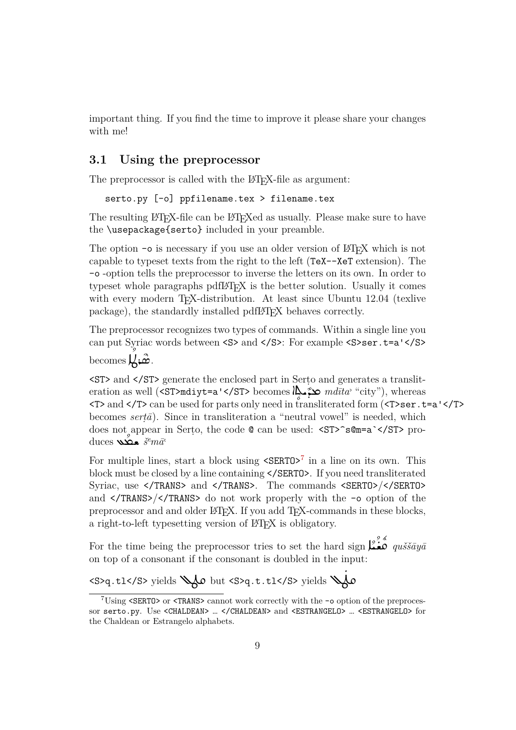important thing. If you find the time to improve it please share your changes with me!

#### **3.1 Using the preprocessor**

<span id="page-8-0"></span>The preprocessor is called with the LAT<sub>EX</sub>-file as argument:

```
serto.py [-o] ppfilename.tex > filename.tex
```
The resulting LATEX-file can be LATEXed as usually. Please make sure to have the \usepackage{serto} included in your preamble.

The option  $-\circ$  is necessary if you use an older version of LATEX which is not capable to typeset texts from the right to the left (TeX--XeT extension). The -o -option tells the preprocessor to inverse the letters on its own. In order to typeset whole paragraphs pdfLAT<sub>EX</sub> is the better solution. Usually it comes with every modern T<sub>E</sub>X-distribution. At least since Ubuntu 12.04 (texlive package), the standardly installed pdfLAT<sub>EX</sub> behaves correctly.

The preprocessor recognizes two types of commands. Within a single line you can put Syriac words between  $<\!\!S\!\!>$  and  $<\!\!/\!S\!\!>$  For example  $<\!\!S\!\!>$ ser.t=a' $<\!\!/\!S\!\!>$ 

 $\bigcup_{i=1}^{s} \mathcal{L}_{i}$ 

<ST> and </ST> generate the enclosed part in Serṭo and generates a transliteration as well (<ST>mdiyt=a'</ST> becomes  $\lim_{n \to \infty} \mathcal{L}^{\text{max}}_{n}$  "city"), whereas » <T> and </T> can be used for parts only need in transliterated form (<T>ser.t=a'</T> becomes *serṭā*). Since in transliteration a "neutral vowel" is needed, which does not appear in Serțo, the code  $\mathbb Q$  can be used: <ST>^s $\mathbb Qm=a$ `</ST> produces ĹwŽ ¨ *š <sup>e</sup>mā,*

For multiple lines, start a block using  $\text{SERTO}^7$  in a line on its own. This block must be closed by a line containing </SERTO>. If you need transliterated Syriac, use </TRANS> and </TRANS>. The commands <SERTO>/</SERTO> and </TRANS>/</TRANS> do not work properl[y](#page-8-1) with the -o option of the preprocessor and and older LATEX. If you add TEX-commands in these blocks, a right-to-left typesetting version of LAT<sub>E</sub>X is obligatory.

For the time being the preprocessor tries to set the hard sign  $\int_{-\infty}^{\infty} a u \check{s} \check{s} \check{a} u \check{a}$ on top of a consonant if the consonant is doubled in the input:

<S>q.tl</S> yields rYŤ but <S>q.t.tl</S> yields r YŤ ˚

<span id="page-8-1"></span><sup>7</sup>Using <SERTO> or <TRANS> cannot work correctly with the -o option of the preprocessor serto.py. Use <CHALDEAN> ... </CHALDEAN> and <ESTRANGELO> ... <ESTRANGELO> for the Chaldean or Estrangelo alphabets.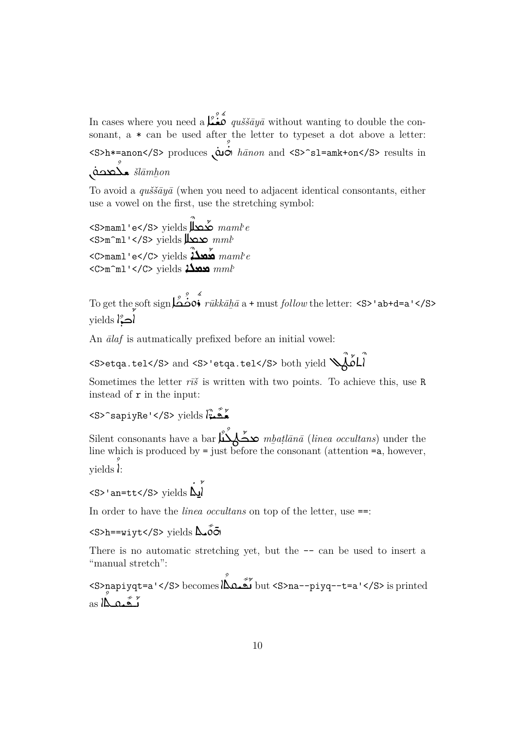In cases where you need a  $\lim_{n \to \infty} a$  *quššāyā* without wanting to double the consonant, a  $*$  can be used after the letter to typeset a dot above a letter: <S>h\*=anon</S> produces  $\dot{\omega}$  *o hānon* and <S>^s1=amk+on</S> results in ¨ yăow ¨ sŽ *šlāmh̲on*

To avoid a *quššāyā* (when you need to adjacent identical consontants, either use a vowel on the first, use the stretching symbol:

<S>maml'e</S> yields ˆ ŋwx´ *maml-e* <S>m^ml'</S> yields ŋwx *mml-* <C>maml'e</C> yields <sup>ˆ</sup> ALM ´M *maml-<sup>e</sup>* <C>m^ml'</C> yields ALMM *mml-*

To get the soft sign  $\stackrel{\circ}{\longrightarrow} \stackrel{\circ}{\cdot} \stackrel{\circ}{rikk\bar{a}\bar{h}\bar{a}}$  a + must  $\mathit{follow}$  the letter: <S>'ab+d=a'</S> yields اڪڙا $\mathcal{E}$ ۶<br>ا

An *ālaf* is autmatically prefixed before an initial vowel:

```
\leqS>etqa.tel\leq/S> and \leqS>'etqa.tel\leq/S> both yield \searrow\mathring{\mathring{\mathcal{Y}}}أم
```
Sometimes the letter  $r\bar{i}\tilde{s}$  is written with two points. To achieve this, use R instead of r in the input:

<S>^sapiyRe'</S> yields  $\int_a^b \tilde{\mathbf{x}}$ 

Silent consonants have a bar حَصَّلَٰیٌّ *mbatlānā* (*linea occultans*) under the line which is produced by = just before the consonant (attention =a, however,  $\text{yields} \wr \text{.}$ 

```
<S>'an=tt</S> yields\Delta˚
                                  ۶<br>ا
                                  A
```
In order to have the *linea occultans* on top of the letter, use ==:

<S>h==wiyt</S> yields  $\Delta$ óō

There is no automatic stretching yet, but the  $-$  can be used to insert a "manual stretch":

S>napiyqt=a'</S> becomes الكَممات but <S>na--piyq--t=a'</S> is printed تَـقَـنْمِـكَّا as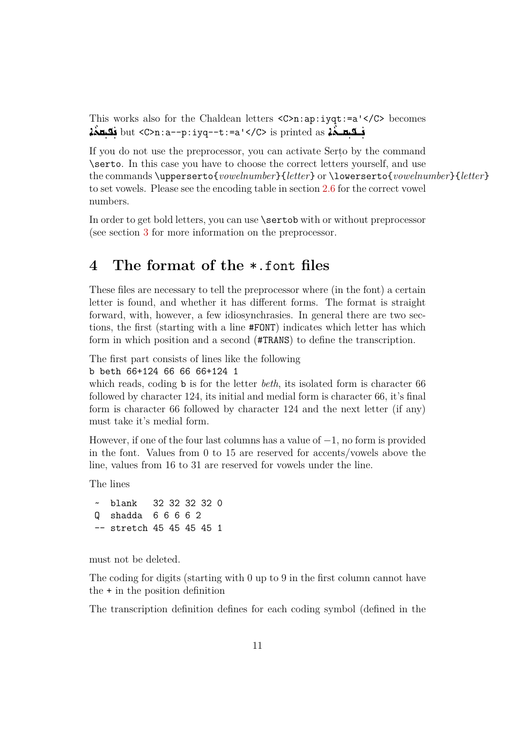This works also for the Chaldean letters <C>n:ap:iyqt:=a'</C> becomes فكبهـجَمْ but <C>n:a--p:iyq--t:=a'</C> is printed as جَمْد بِهِجْمَة as الله فكبهجَمْ

If you do not use the preprocessor, you can activate Serto by the command \serto. In this case you have to choose the correct letters yourself, and use the commands \upperserto{*vowelnumber*}{*letter*} or \lowerserto{*vowelnumber*}{*letter*} to set vowels. Please see the encoding table in section 2.6 for the correct vowel numbers.

In order to get bold letters, you can use **\sertob** with or without preprocessor (see section 3 for more information on the preproces[sor.](#page-6-2)

## **4 The [f](#page-7-0)ormat of the** \*.font **files**

<span id="page-10-0"></span>These files are necessary to tell the preprocessor where (in the font) a certain letter is found, and whether it has different forms. The format is straight forward, with, however, a few idiosynchrasies. In general there are two sections, the first (starting with a line #FONT) indicates which letter has which form in which position and a second (#TRANS) to define the transcription.

The first part consists of lines like the following

```
b beth 66+124 66 66 66+124 1
```
which reads, coding **b** is for the letter *beth*, its isolated form is character 66 followed by character 124, its initial and medial form is character 66, it's final form is character 66 followed by character 124 and the next letter (if any) must take it's medial form.

However, if one of the four last columns has a value of *−*1, no form is provided in the font. Values from 0 to 15 are reserved for accents/vowels above the line, values from 16 to 31 are reserved for vowels under the line.

The lines

~ blank 32 32 32 32 0 Q shadda 6 6 6 6 2 -- stretch 45 45 45 45 1

must not be deleted.

The coding for digits (starting with 0 up to 9 in the first column cannot have the + in the position definition

The transcription definition defines for each coding symbol (defined in the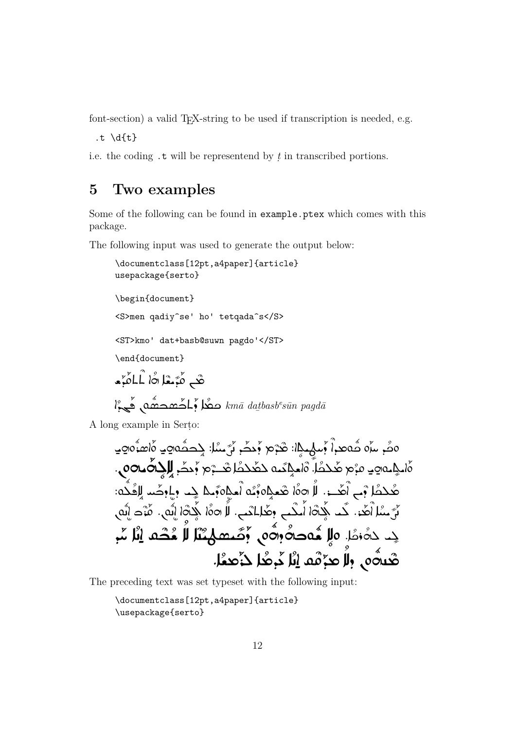font-section) a valid T<sub>F</sub>X-string to be used if transcription is needed, e.g.

.t  $\d{t}$ 

i.e. the coding  $\cdot$ **t** will be representend by  $t$  in transcribed portions.

#### <span id="page-11-0"></span>Two examples  $\overline{5}$

Some of the following can be found in example.ptex which comes with this package.

The following input was used to generate the output below:

```
\documentclass[12pt,a4paper]{article}
usepackage{serto}
\begin{document}
<S>men qadiy^se' ho' tetqada^s</S>
<ST>kmo' dat+basb@suwn pagdo'</ST>
\end{document}
هْبِ مُبَسْلاهُا اُلمَّامَّ
l^{\circ}ه مِعْد مَعْد مَسْد هُم مِعْد مَعْد مَعْد مَعْد مِعْد مِعْد مِعْد مِعْد مِعْد k
```
A long example in Serto:

The preceding text was set typeset with the following input:

```
\documentclass[12pt,a4paper]{article}
\usepackage{serto}
```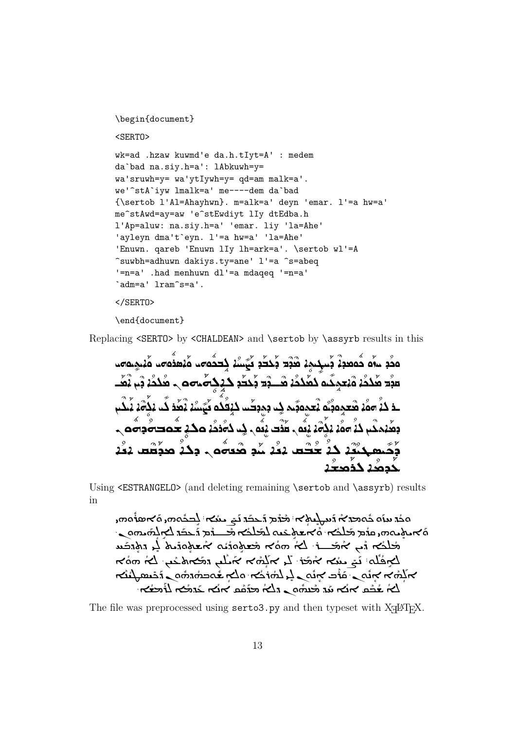```
\begin{document}
<SERTO>
wk=ad .hzaw kuwmd'e da.h.tIyt=A' : medem
da`bad na.siy.h=a': lAbkuwh=y=
wa'sruwh=y= wa'ytIywh=y= qd=am malk=a'.
we'^stA`iyw lmalk=a' me----dem da`bad
{\sertob l'Al=Ahayhwn}. m=alk=a' deyn 'emar. l'=a hw=a'
me^stAwd=ay=aw 'e^stEwdiyt lIy dtEdba.h
l'Ap=aluw: na.siy.h=a' 'emar. liy 'la=Ahe'
'ayleyn dma't`eyn. l'=a hw=a' 'la=Ahe'
'Enuwn. qareb 'Enuwn lIy lh=ark=a'. \sertob wl'=A
^suwbh=adhuwn dakiys.ty=ane' l'=a ^s=abeq
'=n=a' .had menhuwn dl'=a mdaqeq '=n=a'
`adm=a' lram^s=a'.
```
</SERTO>

\end{document}

Replacing <SERTO> by <CHALDEAN> and \sertob by \assyrb results in this

|IHOIT « IA´ O |IHO ˝ RSA´ O |IHO ˝ KBL " AiI ¨ s˜ ´ N D ´BE´ D m<sup>ˆ</sup> D ˆM AT » IW « مَحَّدٖ ٣ُ٥ حُمْصَدِيْ ڊَ٣ جةٌ محمد هُدُدُ بْم يْهَــ  $\overline{6}$ مبْدَ هَٰذہُ هُنجمِكُم ۗدْهُدُهُ هُــــبْدَ بْحَدَّدِ حَكِ nI  $\stackrel{\rightsquigarrow}{\sim}$ ໄດ້ ´ سا 22<br>م ه کَهَسْدُ ډُهُٰذ دُ ˝ ـذ دَغُ مومُد هُتحمَ مَعْهِمَ مَعْهِمَ لِكَ دِهِدِكُــد دَيْقُدُ بْ عُمْدَةَ وَرَصُّهَ ج  $\delta$ مْ بْهُمْ هَذَت يْعُمْ فِ حَصَّدَ مكَ ´ بَعْدَهذَب ذَءٌ مَهُدَ بَكٍُ كَيهِجْدْدْ جُدُّك دَءُ جُدِّ بِهُمْ شَدَّهُم وَجَدَّ مِجْمَعَة دَءُرُ y<br>ጣ <u>د</u> لَاجِعُدُ حَذَّمحكُ

Using <ESTRANGELO> (and deleting remaining \sertob and \assyrb) results in

مک<mark>ۃ ہا</mark>َ ھے محد نہ انہ ہام نہا شام اللہ علیہ کی مسلم الحکمہ و کا معاملہ م  $\ddot{\bullet}$ ܰܽ  $\frac{1}{2}$ ܳ صدر المحمد المستقدم المستقدم المستقدم المستقدم المستقدم المستقدم المستقدم المستقدم المستقدم المستقدم المستقدم<br>٢٠ مستقدم المستقدم المستقدم المستقدم المستقدم المستقدم المستقدم المستقدم المستقدم المستقدم المستقدم المستقدم ا ا<br>م ܶ ٌ<br>أ ے داخلاء اور اس کے اس کے اس کے اس کے اس کے اس کے اس کے اس کے اس کے اس کے اس کے اس کے اس کے اس کے اس کے اس کے ا<br>مسئل سکھا اور جس کی کہ جس کی اس کا کہ اس کا کہ کام کر اس کے اس کا کہ اس کے اس کا کہ اس کا کہ اس کا کہ اس کا کہ ا،<br>آ ٌ<br>أ ܳسے اور ہے معدولت دھندولت دورہ دی اور کسی ہے، محمد ہوتا ہے<br>اس کے مقام کی جائے ملک کا مقام کی کہا کہ جاتا ہے کہ کہ ہمارے کے مقام کا مقام کی کہا کہ ہمارے کہ کہ ہمارے کہ کہ ܳ 。<br>? j. 。<br>。 ʻ <del>ده در ۲۰۰۰ میلی میشه در ۲۰۰۰ میلی میشه و به در ۱۰۰۰ میلی در ۲۰</del><br>۳۰۰۸ میلی میکند و ۲۰۰۰ میلی میلی بار در ۲۰۰۰ میلی در ۲۰۰۰ میلی بار .<br>م í ܽ ; .<br>ه  $\ddot{\cdot}$ 。<br>● ܳ ܐ܁ ܡܫ  $\sim$ های کرده ۱۳۶۸ میلادی در دمارد که سازم در دماره از در دمارد از در دمارد از در دمارد از در دمارد از در دمارد<br>آیا هفته سازم از در دمارد از در دمارد از در دمارد از در دمارد از در دمارد از در در در در در در در در در در در

The file was preprocessed using serto3.py and then typeset with X $\frac{1}{2}$ H<sub>E</sub>X.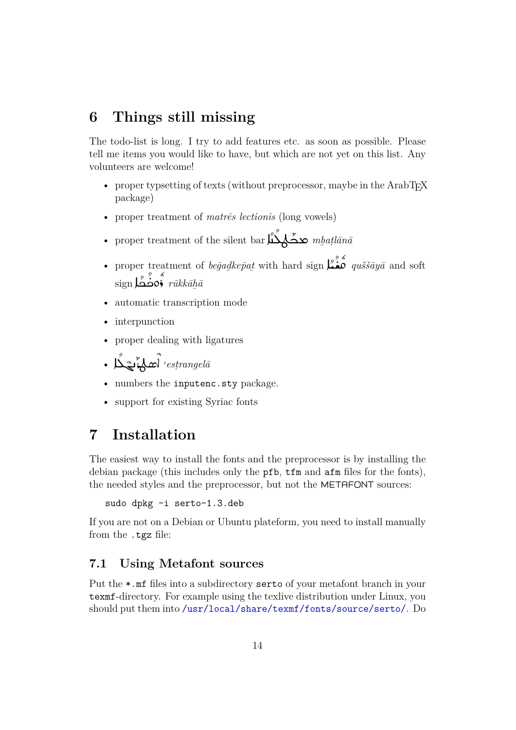# **6 Things still missing**

<span id="page-13-0"></span>The todo-list is long. I try to add features etc. as soon as possible. Please tell me items you would like to have, but which are not yet on this list. Any volunteers are welcome!

- proper typsetting of texts (without preprocessor, maybe in the ArabTEX package)
- proper treatment of *matrēs lectionis* (long vowels)
- proper treatment of the silent bar محكم الله بين مسلم بين في محمد السلم بين السلم بين السلم بين السلم بين ال<br>مسلمان السلم بين السلم بين السلم بين السلم بين السلم بين السلم بين السلم بين السلم بين السلم بين السلم بين الس
- proper treatment of *begadkep̃at* with hard sign  $\sum_{k=1}^{n} a_k$  *quššāyā* and soft  $\frac{\varepsilon}{\sin\theta}$ ەڭگا $\frac{\varepsilon}{\sin\theta}$
- automatic transcription mode
- interpunction
- proper dealing with ligatures

$$
\bullet \ \overset{\circ}{\text{Max}} \ \overset{\circ}{\text{Max}} \ \overset{\circ}{\text{estrangela}}
$$

- numbers the inputenc.sty package.
- support for existing Syriac fonts

# **7 Installation**

<span id="page-13-1"></span>The easiest way to install the fonts and the preprocessor is by installing the debian package (this includes only the pfb, tfm and afm files for the fonts), the needed styles and the preprocessor, but not the METAFONT sources:

```
sudo dpkg -i serto-1.3.deb
```
If you are not on a Debian or Ubuntu plateform, you need to install manually from the .tgz file:

### **7.1 Using Metafont sources**

<span id="page-13-2"></span>Put the \*.mf files into a subdirectory serto of your metafont branch in your texmf-directory. For example using the texlive distribution under Linux, you should put them into /usr/local/share/texmf/fonts/source/serto/. Do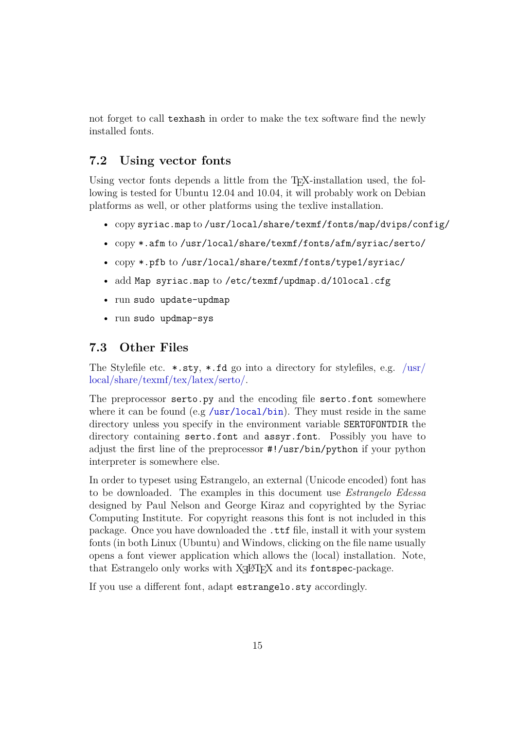not forget to call texhash in order to make the tex software find the newly installed fonts.

#### **7.2 Using vector fonts**

<span id="page-14-0"></span>Using vector fonts depends a little from the T<sub>E</sub>X-installation used, the following is tested for Ubuntu 12.04 and 10.04, it will probably work on Debian platforms as well, or other platforms using the texlive installation.

- copy syriac.map to /usr/local/share/texmf/fonts/map/dvips/config/
- copy \*.afm to /usr/local/share/texmf/fonts/afm/syriac/serto/
- copy \*.pfb to /usr/local/share/texmf/fonts/type1/syriac/
- add Map syriac.map to /etc/texmf/updmap.d/10local.cfg
- run sudo update-updmap
- run sudo updmap-sys

### **7.3 Other Files**

<span id="page-14-1"></span>The Stylefile etc.  $\star$ .sty,  $\star$ .fd go into a directory for stylefiles, e.g. /usr/ local/share/texmf/tex/latex/serto/.

The preprocessor serto.py and the encoding file serto.font somewhere where it can be found (e.g /usr/local/bin). They must reside in the [same](/usr/local/share/texmf/tex/latex/serto/) [directory unless you specify in the](/usr/local/share/texmf/tex/latex/serto/) environment variable SERTOFONTDIR the directory containing serto.font and assyr.font. Possibly you have to adjust the first line of the [preprocessor](/usr/local/bin) #!/usr/bin/python if your python interpreter is somewhere else.

In order to typeset using Estrangelo, an external (Unicode encoded) font has to be downloaded. The examples in this document use *Estrangelo Edessa* designed by Paul Nelson and George Kiraz and copyrighted by the Syriac Computing Institute. For copyright reasons this font is not included in this package. Once you have downloaded the .ttf file, install it with your system fonts (in both Linux (Ubuntu) and Windows, clicking on the file name usually opens a font viewer application which allows the (local) installation. Note, that Estrangelo only works with X $\frac{1}{4}$ AT<sub>E</sub>X and its fontspec-package.

If you use a different font, adapt estrangelo.sty accordingly.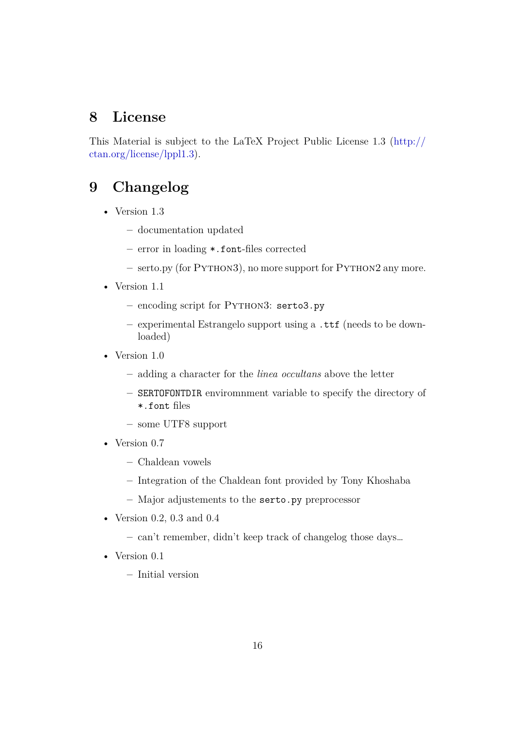# **8 License**

This Material is subject to the LaTeX Project Public License 1.3 (http:// ctan.org/license/lppl1.3).

# **[9 Changelog](http://ctan.org/license/lppl1.3)**

- Version 1.3
	- **–** documentation updated
	- **–** error in loading \*.font-files corrected
	- **–** serto.py (for Python3), no more support for Python2 any more.
- Version 1.1
	- **–** encoding script for Python3: serto3.py
	- **–** experimental Estrangelo support using a .ttf (needs to be downloaded)
- Version 1.0
	- **–** adding a character for the *linea occultans* above the letter
	- **–** SERTOFONTDIR enviromnment variable to specify the directory of \*.font files
	- **–** some UTF8 support
- Version 0.7
	- **–** Chaldean vowels
	- **–** Integration of the Chaldean font provided by Tony Khoshaba
	- **–** Major adjustements to the serto.py preprocessor
- Version 0.2, 0.3 and 0.4
	- **–** can't remember, didn't keep track of changelog those days…
- Version 0.1
	- **–** Initial version